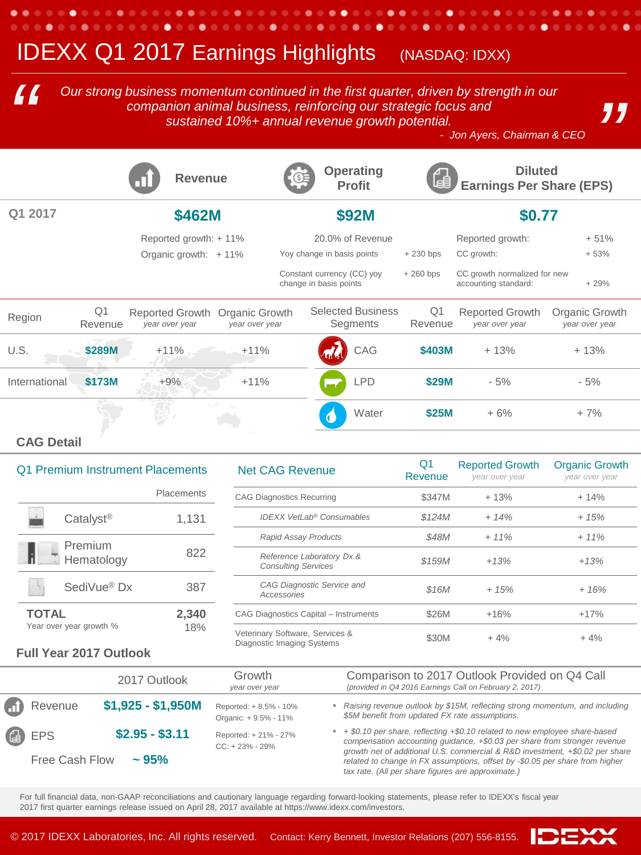# **IDEXX Q1 2017 Earnings Highlights** (NASDAQ: IDXX)

*Our strong business momentum continued in the first quarter, driven by strength in our companion animal business, reinforcing our strategic focus and sustained 10%+ annual revenue growth potential. Our strong business momentum continued in the first quarter, driven by strength in our companion animal business, reinforcing our strategic focus and sustained 10%+ annual revenue growth potential. <br>- Jon Ayers, Chairman* 

٠

.

*"* 

|               |                           | <b>Revenue</b>                           |                                  | Œ                                                    |  | <b>Operating</b><br><b>Profit</b>    | Lea                       | <b>Diluted</b><br><b>Earnings Per Share (EPS)</b>    |                                  |
|---------------|---------------------------|------------------------------------------|----------------------------------|------------------------------------------------------|--|--------------------------------------|---------------------------|------------------------------------------------------|----------------------------------|
| Q1 2017       |                           | \$462M                                   |                                  | <b>\$92M</b>                                         |  | \$0.77                               |                           |                                                      |                                  |
|               |                           | Reported growth: +11%                    |                                  | 20.0% of Revenue                                     |  |                                      | Reported growth:          | $+51%$                                               |                                  |
|               |                           | Organic growth: $+11\%$                  |                                  | Yoy change in basis points                           |  |                                      | $+230$ bps                | CC growth:                                           | $+53%$                           |
|               |                           |                                          |                                  | Constant currency (CC) yoy<br>change in basis points |  |                                      | $+260$ bps                | CC growth normalized for new<br>accounting standard: | $+29%$                           |
| Region        | Q <sub>1</sub><br>Revenue | <b>Reported Growth</b><br>year over year | Organic Growth<br>year over year |                                                      |  | <b>Selected Business</b><br>Segments | Q <sub>1</sub><br>Revenue | <b>Reported Growth</b><br>year over year             | Organic Growth<br>year over year |
| U.S.          | \$289M                    | $+11%$                                   | $+11%$                           |                                                      |  | CAG                                  | \$403M                    | $+13%$                                               | $+13%$                           |
| International | \$173M                    | $+9%$                                    | $+11%$                           |                                                      |  | <b>LPD</b>                           | \$29M                     | $-5%$                                                | $-5%$                            |
|               |                           |                                          |                                  |                                                      |  | Water                                | \$25M                     | $+6%$                                                | $+7%$                            |

### **CAG Detail**

| N          | Q1 Premium Instrument Placements |                                         |  |
|------------|----------------------------------|-----------------------------------------|--|
| CA         | Placements                       |                                         |  |
|            | 1,131                            | Catalyst <sup>®</sup>                   |  |
|            | 822                              | Premium<br>Hematology                   |  |
|            | 387                              | SediVue <sup>®</sup> Dx                 |  |
| CА         | 2,340<br>18%                     | <b>TOTAL</b><br>Year over year growth % |  |
| $\sqrt{2}$ |                                  |                                         |  |

. . . . . .

. . .

| <b>Net CAG Revenue</b>                                        | Q1<br>Revenue | <b>Reported Growth</b><br>year over year | <b>Organic Growth</b><br>year over year<br>$+14%$ |  |
|---------------------------------------------------------------|---------------|------------------------------------------|---------------------------------------------------|--|
| <b>CAG Diagnostics Recurring</b>                              | \$347M        | $+13%$                                   |                                                   |  |
| <b>IDEXX VetLab<sup>®</sup> Consumables</b>                   | \$124M        | $+ 14%$                                  | $+15%$                                            |  |
| <b>Rapid Assay Products</b>                                   | \$48M         | $+11%$                                   | $+11%$                                            |  |
| Reference Laboratory Dx &<br><b>Consulting Services</b>       | \$159M        | $+13%$                                   | $+13%$                                            |  |
| CAG Diagnostic Service and<br>Accessories                     | \$16M         | $+15%$                                   | $+16%$                                            |  |
| CAG Diagnostics Capital - Instruments                         | \$26M         | $+16%$                                   | $+17%$                                            |  |
| Veterinary Software, Services &<br>Diagnostic Imaging Systems | \$30M         | $+4%$                                    | $+4%$                                             |  |

#### **Full Year 2017 Outlook**

|                | 2017 Outlook       | Growth<br>year over year                       | Comparison to 2017 Outlook Provided on Q4 Call<br>(provided in Q4 2016 Earnings Call on February 2, 2017)                                                                                                          |
|----------------|--------------------|------------------------------------------------|--------------------------------------------------------------------------------------------------------------------------------------------------------------------------------------------------------------------|
| n Revenue      | $$1,925 - $1,950M$ | Reported: + 8.5% - 10%<br>Organic: +9.5% - 11% | Raising revenue outlook by \$15M, reflecting strong momentum, and including<br>\$5M benefit from updated FX rate assumptions.                                                                                      |
| <b>4</b> EPS   | $$2.95 - $3.11$    | Reported: + 21% - 27%<br>$CC: + 23\% - 29\%$   | $\bullet$ + \$0.10 per share, reflecting +\$0.10 related to new employee share-based<br>compensation accounting quidance, +\$0.03 per share from stronger revenue                                                  |
| Free Cash Flow | $\sim$ 95%         |                                                | growth net of additional U.S. commercial & R&D investment, +\$0.02 per share<br>related to change in FX assumptions, offset by -\$0.05 per share from higher<br>tax rate. (All per share figures are approximate.) |

For full financial data, non-GAAP reconciliations and cautionary language regarding forward-looking statements, please refer to IDEXX's fiscal year 2017 first quarter earnings release issued on April 28, 2017 available at https://www.idexx.com/investors.